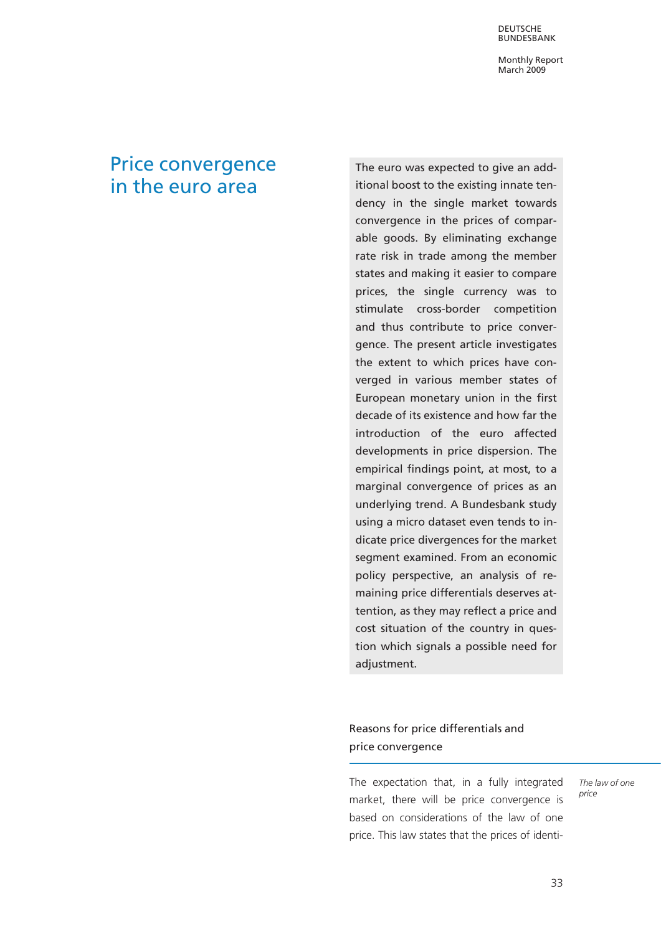DEUTSCHE BUNDESBANK

Monthly Report March 2009

# Price convergence in the euro area

The euro was expected to give an additional boost to the existing innate tendency in the single market towards convergence in the prices of comparable goods. By eliminating exchange rate risk in trade among the member states and making it easier to compare prices, the single currency was to stimulate cross-border competition and thus contribute to price convergence. The present article investigates the extent to which prices have converged in various member states of European monetary union in the first decade of its existence and how far the introduction of the euro affected developments in price dispersion. The empirical findings point, at most, to a marginal convergence of prices as an underlying trend. A Bundesbank study using a micro dataset even tends to indicate price divergences for the market segment examined. From an economic policy perspective, an analysis of remaining price differentials deserves attention, as they may reflect a price and cost situation of the country in question which signals a possible need for adjustment.

## Reasons for price differentials and price convergence

The expectation that, in a fully integrated market, there will be price convergence is based on considerations of the law of one price. This law states that the prices of identiThe law of one price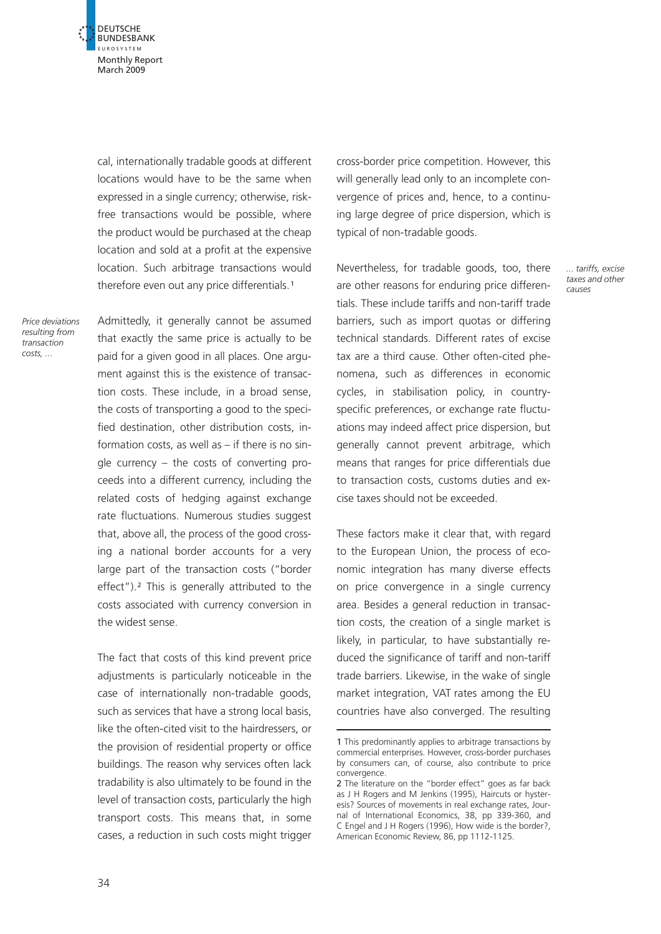**DEUTSCHE** BUNDESBANK EUROSYSTEM Monthly Report March 2009

 $\vec{r}$ 

cal, internationally tradable goods at different locations would have to be the same when expressed in a single currency; otherwise, riskfree transactions would be possible, where the product would be purchased at the cheap location and sold at a profit at the expensive location. Such arbitrage transactions would therefore even out any price differentials.<sup>1</sup>

Price deviations resulting from transaction costs, ...

Admittedly, it generally cannot be assumed that exactly the same price is actually to be paid for a given good in all places. One argument against this is the existence of transaction costs. These include, in a broad sense, the costs of transporting a good to the specified destination, other distribution costs, information costs, as well as – if there is no single currency – the costs of converting proceeds into a different currency, including the related costs of hedging against exchange rate fluctuations. Numerous studies suggest that, above all, the process of the good crossing a national border accounts for a very large part of the transaction costs ("border effect").<sup>2</sup> This is generally attributed to the costs associated with currency conversion in the widest sense.

The fact that costs of this kind prevent price adjustments is particularly noticeable in the case of internationally non-tradable goods, such as services that have a strong local basis, like the often-cited visit to the hairdressers, or the provision of residential property or office buildings. The reason why services often lack tradability is also ultimately to be found in the level of transaction costs, particularly the high transport costs. This means that, in some cases, a reduction in such costs might trigger

cross-border price competition. However, this will generally lead only to an incomplete convergence of prices and, hence, to a continuing large degree of price dispersion, which is typical of non-tradable goods.

> ... tariffs, excise taxes and other causes

Nevertheless, for tradable goods, too, there are other reasons for enduring price differentials. These include tariffs and non-tariff trade barriers, such as import quotas or differing technical standards. Different rates of excise tax are a third cause. Other often-cited phenomena, such as differences in economic cycles, in stabilisation policy, in countryspecific preferences, or exchange rate fluctuations may indeed affect price dispersion, but generally cannot prevent arbitrage, which means that ranges for price differentials due to transaction costs, customs duties and excise taxes should not be exceeded.

These factors make it clear that, with regard to the European Union, the process of economic integration has many diverse effects on price convergence in a single currency area. Besides a general reduction in transaction costs, the creation of a single market is likely, in particular, to have substantially reduced the significance of tariff and non-tariff trade barriers. Likewise, in the wake of single market integration, VAT rates among the EU countries have also converged. The resulting

<sup>1</sup> This predominantly applies to arbitrage transactions by commercial enterprises. However, cross-border purchases by consumers can, of course, also contribute to price convergence.

<sup>2</sup> The literature on the "border effect" goes as far back as J H Rogers and M Jenkins (1995), Haircuts or hysteresis? Sources of movements in real exchange rates, Journal of International Economics, 38, pp 339-360, and C Engel and J H Rogers (1996), How wide is the border?, American Economic Review, 86, pp 1112-1125.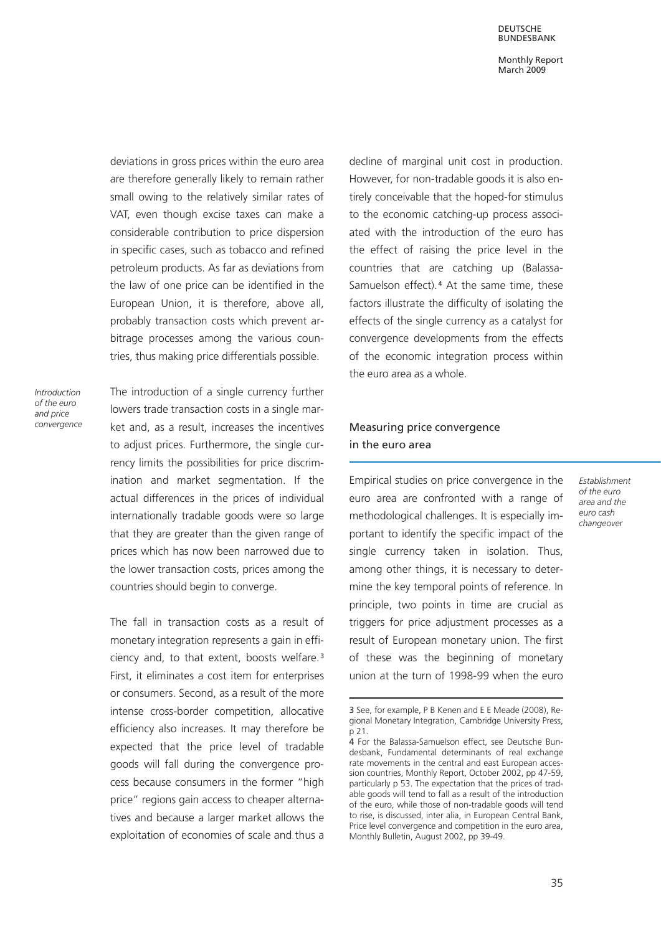DEUTSCHE BUNDESBANK

Monthly Report March 2009

deviations in gross prices within the euro area are therefore generally likely to remain rather small owing to the relatively similar rates of VAT, even though excise taxes can make a considerable contribution to price dispersion in specific cases, such as tobacco and refined petroleum products. As far as deviations from the law of one price can be identified in the European Union, it is therefore, above all, probably transaction costs which prevent arbitrage processes among the various countries, thus making price differentials possible.

Introduction of the euro and price convergence The introduction of a single currency further lowers trade transaction costs in a single market and, as a result, increases the incentives to adjust prices. Furthermore, the single currency limits the possibilities for price discrimination and market segmentation. If the actual differences in the prices of individual internationally tradable goods were so large that they are greater than the given range of prices which has now been narrowed due to the lower transaction costs, prices among the countries should begin to converge.

The fall in transaction costs as a result of monetary integration represents a gain in efficiency and, to that extent, boosts welfare.<sup>3</sup> First, it eliminates a cost item for enterprises or consumers. Second, as a result of the more intense cross-border competition, allocative efficiency also increases. It may therefore be expected that the price level of tradable goods will fall during the convergence process because consumers in the former "high price" regions gain access to cheaper alternatives and because a larger market allows the exploitation of economies of scale and thus a decline of marginal unit cost in production. However, for non-tradable goods it is also entirely conceivable that the hoped-for stimulus to the economic catching-up process associated with the introduction of the euro has the effect of raising the price level in the countries that are catching up (Balassa-Samuelson effect).<sup>4</sup> At the same time, these factors illustrate the difficulty of isolating the effects of the single currency as a catalyst for convergence developments from the effects of the economic integration process within the euro area as a whole.

### Measuring price convergence in the euro area

Empirical studies on price convergence in the euro area are confronted with a range of methodological challenges. It is especially important to identify the specific impact of the single currency taken in isolation. Thus, among other things, it is necessary to determine the key temporal points of reference. In principle, two points in time are crucial as triggers for price adjustment processes as a result of European monetary union. The first of these was the beginning of monetary union at the turn of 1998-99 when the euro

Establishment of the euro area and the euro cash changeover

<sup>3</sup> See, for example, P B Kenen and E E Meade (2008), Regional Monetary Integration, Cambridge University Press, p 21.

<sup>4</sup> For the Balassa-Samuelson effect, see Deutsche Bundesbank, Fundamental determinants of real exchange rate movements in the central and east European accession countries, Monthly Report, October 2002, pp 47-59, particularly p 53. The expectation that the prices of tradable goods will tend to fall as a result of the introduction of the euro, while those of non-tradable goods will tend to rise, is discussed, inter alia, in European Central Bank, Price level convergence and competition in the euro area, Monthly Bulletin, August 2002, pp 39-49.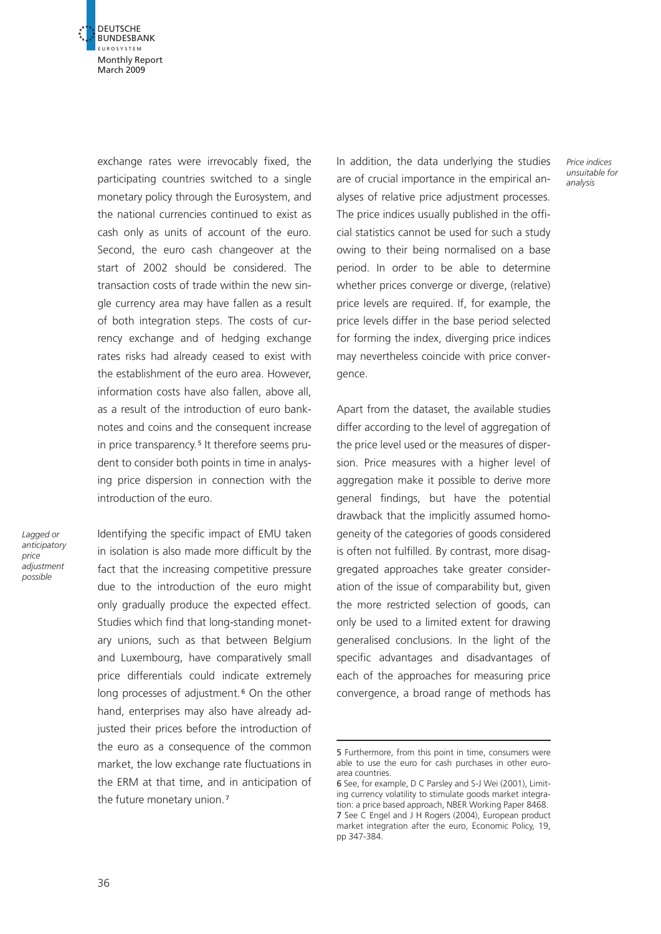

exchange rates were irrevocably fixed, the participating countries switched to a single monetary policy through the Eurosystem, and the national currencies continued to exist as cash only as units of account of the euro. Second, the euro cash changeover at the start of 2002 should be considered. The transaction costs of trade within the new single currency area may have fallen as a result of both integration steps. The costs of currency exchange and of hedging exchange rates risks had already ceased to exist with the establishment of the euro area. However, information costs have also fallen, above all, as a result of the introduction of euro banknotes and coins and the consequent increase in price transparency.<sup>5</sup> It therefore seems prudent to consider both points in time in analysing price dispersion in connection with the introduction of the euro.

Lagged or anticipatory price adjustment possible

Identifying the specific impact of EMU taken in isolation is also made more difficult by the fact that the increasing competitive pressure due to the introduction of the euro might only gradually produce the expected effect. Studies which find that long-standing monetary unions, such as that between Belgium and Luxembourg, have comparatively small price differentials could indicate extremely long processes of adjustment.<sup>6</sup> On the other hand, enterprises may also have already adjusted their prices before the introduction of the euro as a consequence of the common market, the low exchange rate fluctuations in the ERM at that time, and in anticipation of the future monetary union.<sup>7</sup>

In addition, the data underlying the studies are of crucial importance in the empirical analyses of relative price adjustment processes. The price indices usually published in the official statistics cannot be used for such a study owing to their being normalised on a base period. In order to be able to determine whether prices converge or diverge, (relative) price levels are required. If, for example, the price levels differ in the base period selected for forming the index, diverging price indices may nevertheless coincide with price convergence.

Price indices unsuitable for analysis

Apart from the dataset, the available studies differ according to the level of aggregation of the price level used or the measures of dispersion. Price measures with a higher level of aggregation make it possible to derive more general findings, but have the potential drawback that the implicitly assumed homogeneity of the categories of goods considered is often not fulfilled. By contrast, more disaggregated approaches take greater consideration of the issue of comparability but, given the more restricted selection of goods, can only be used to a limited extent for drawing generalised conclusions. In the light of the specific advantages and disadvantages of each of the approaches for measuring price convergence, a broad range of methods has

<sup>5</sup> Furthermore, from this point in time, consumers were able to use the euro for cash purchases in other euroarea countries.

<sup>6</sup> See, for example, D C Parsley and S-J Wei (2001), Limiting currency volatility to stimulate goods market integration: a price based approach, NBER Working Paper 8468. 7 See C Engel and J H Rogers (2004), European product market integration after the euro, Economic Policy, 19, pp 347-384.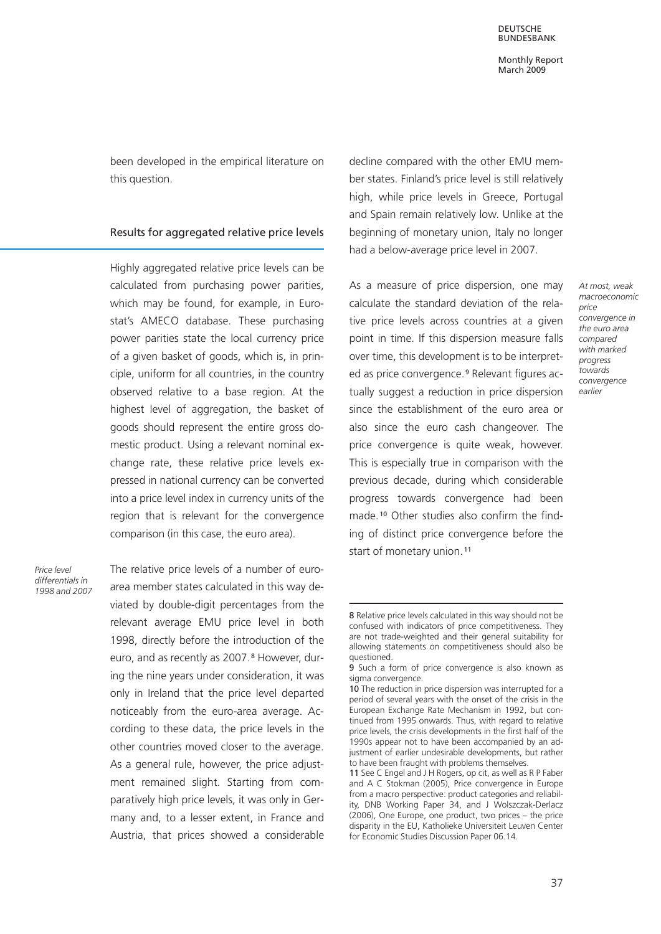been developed in the empirical literature on this question.

#### Results for aggregated relative price levels

Highly aggregated relative price levels can be calculated from purchasing power parities, which may be found, for example, in Eurostat's AMECO database. These purchasing power parities state the local currency price of a given basket of goods, which is, in principle, uniform for all countries, in the country observed relative to a base region. At the highest level of aggregation, the basket of goods should represent the entire gross domestic product. Using a relevant nominal exchange rate, these relative price levels expressed in national currency can be converted into a price level index in currency units of the region that is relevant for the convergence comparison (in this case, the euro area).

Price level differentials in 1998 and 2007 The relative price levels of a number of euroarea member states calculated in this way deviated by double-digit percentages from the relevant average EMU price level in both 1998, directly before the introduction of the euro, and as recently as 2007.<sup>8</sup> However, during the nine years under consideration, it was only in Ireland that the price level departed noticeably from the euro-area average. According to these data, the price levels in the other countries moved closer to the average. As a general rule, however, the price adjustment remained slight. Starting from comparatively high price levels, it was only in Germany and, to a lesser extent, in France and Austria, that prices showed a considerable decline compared with the other EMU member states. Finland's price level is still relatively high, while price levels in Greece, Portugal and Spain remain relatively low. Unlike at the beginning of monetary union, Italy no longer had a below-average price level in 2007.

As a measure of price dispersion, one may calculate the standard deviation of the relative price levels across countries at a given point in time. If this dispersion measure falls over time, this development is to be interpreted as price convergence.<sup>9</sup> Relevant figures actually suggest a reduction in price dispersion since the establishment of the euro area or also since the euro cash changeover. The price convergence is quite weak, however. This is especially true in comparison with the previous decade, during which considerable progress towards convergence had been made.<sup>10</sup> Other studies also confirm the finding of distinct price convergence before the start of monetary union.<sup>11</sup>

At most, weak macroeconomic price convergence in the euro area compared with marked progress towards convergence earlier

<sup>8</sup> Relative price levels calculated in this way should not be confused with indicators of price competitiveness. They are not trade-weighted and their general suitability for allowing statements on competitiveness should also be questioned.

<sup>9</sup> Such a form of price convergence is also known as sigma convergence.

<sup>10</sup> The reduction in price dispersion was interrupted for a period of several years with the onset of the crisis in the European Exchange Rate Mechanism in 1992, but continued from 1995 onwards. Thus, with regard to relative price levels, the crisis developments in the first half of the 1990s appear not to have been accompanied by an adjustment of earlier undesirable developments, but rather to have been fraught with problems themselves.

<sup>11</sup> See C Engel and J H Rogers, op cit, as well as R P Faber and A C Stokman (2005), Price convergence in Europe from a macro perspective: product categories and reliability, DNB Working Paper 34, and J Wolszczak-Derlacz (2006), One Europe, one product, two prices – the price disparity in the EU, Katholieke Universiteit Leuven Center for Economic Studies Discussion Paper 06.14.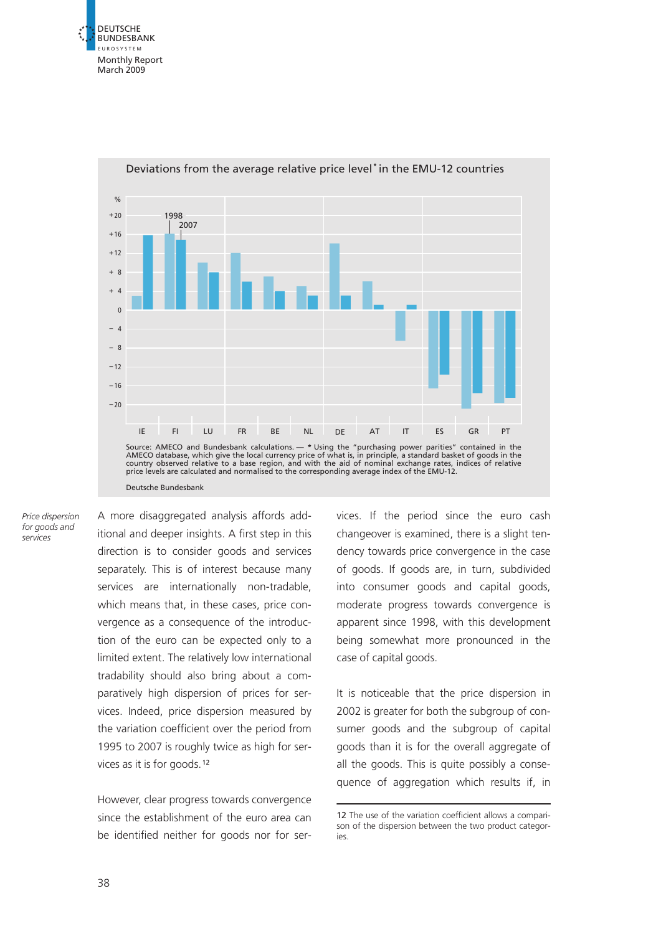



Deviations from the average relative price level **\*** in the EMU-12 countries

Price dispersion for goods and services

A more disaggregated analysis affords additional and deeper insights. A first step in this direction is to consider goods and services separately. This is of interest because many services are internationally non-tradable, which means that, in these cases, price convergence as a consequence of the introduction of the euro can be expected only to a limited extent. The relatively low international tradability should also bring about a comparatively high dispersion of prices for services. Indeed, price dispersion measured by the variation coefficient over the period from 1995 to 2007 is roughly twice as high for services as it is for goods.<sup>12</sup>

However, clear progress towards convergence since the establishment of the euro area can be identified neither for goods nor for services. If the period since the euro cash changeover is examined, there is a slight tendency towards price convergence in the case of goods. If goods are, in turn, subdivided into consumer goods and capital goods, moderate progress towards convergence is apparent since 1998, with this development being somewhat more pronounced in the case of capital goods.

It is noticeable that the price dispersion in 2002 is greater for both the subgroup of consumer goods and the subgroup of capital goods than it is for the overall aggregate of all the goods. This is quite possibly a consequence of aggregation which results if, in

<sup>12</sup> The use of the variation coefficient allows a comparison of the dispersion between the two product categories.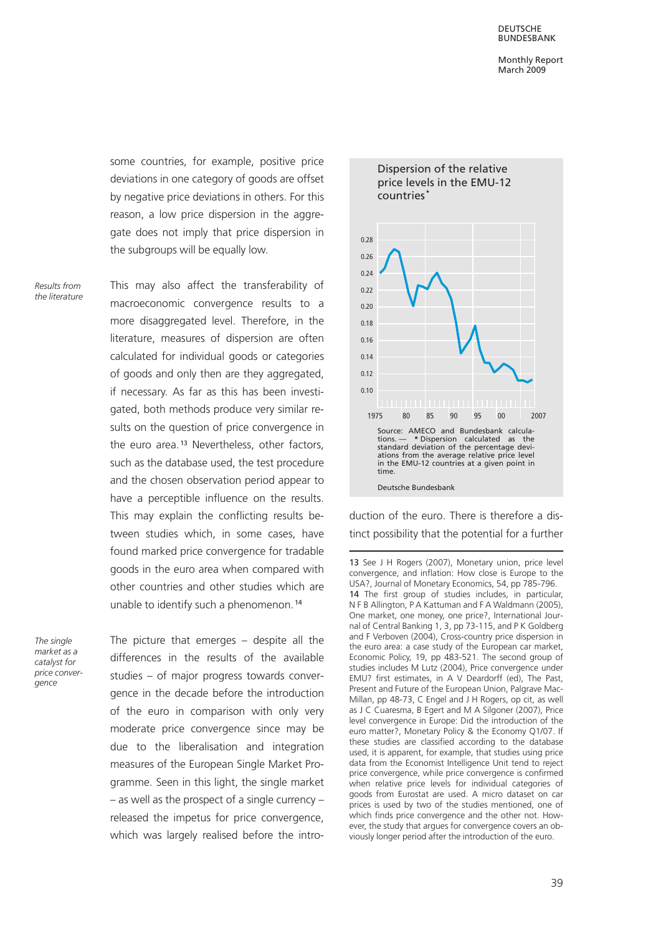some countries, for example, positive price deviations in one category of goods are offset by negative price deviations in others. For this reason, a low price dispersion in the aggregate does not imply that price dispersion in the subgroups will be equally low.

Results from the literature This may also affect the transferability of macroeconomic convergence results to a more disaggregated level. Therefore, in the literature, measures of dispersion are often calculated for individual goods or categories of goods and only then are they aggregated. if necessary. As far as this has been investigated, both methods produce very similar results on the question of price convergence in the euro area.<sup>13</sup> Nevertheless, other factors, such as the database used, the test procedure and the chosen observation period appear to have a perceptible influence on the results. This may explain the conflicting results between studies which, in some cases, have found marked price convergence for tradable goods in the euro area when compared with other countries and other studies which are unable to identify such a phenomenon.<sup>14</sup>

The sinale market as a catalyst for price convergence

The picture that emerges – despite all the differences in the results of the available studies – of major progress towards convergence in the decade before the introduction of the euro in comparison with only very moderate price convergence since may be due to the liberalisation and integration measures of the European Single Market Programme. Seen in this light, the single market – as well as the prospect of a single currency – released the impetus for price convergence, which was largely realised before the intro-



duction of the euro. There is therefore a distinct possibility that the potential for a further

<sup>13</sup> See J H Rogers (2007), Monetary union, price level convergence, and inflation: How close is Europe to the USA?, Journal of Monetary Economics, 54, pp 785-796. 14 The first group of studies includes, in particular, N F B Allington, P A Kattuman and F A Waldmann (2005), One market, one money, one price?, International Journal of Central Banking 1, 3, pp 73-115, and P K Goldberg and F Verboven (2004), Cross-country price dispersion in the euro area: a case study of the European car market, Economic Policy, 19, pp 483-521. The second group of studies includes M Lutz (2004), Price convergence under EMU? first estimates, in A V Deardorff (ed), The Past, Present and Future of the European Union, Palgrave Mac-Millan, pp 48-73, C Engel and J H Rogers, op cit, as well as J C Cuaresma, B Egert and M A Silgoner (2007), Price level convergence in Europe: Did the introduction of the euro matter?, Monetary Policy & the Economy Q1/07. If these studies are classified according to the database used, it is apparent, for example, that studies using price data from the Economist Intelligence Unit tend to reject price convergence, while price convergence is confirmed when relative price levels for individual categories of goods from Eurostat are used. A micro dataset on car prices is used by two of the studies mentioned, one of which finds price convergence and the other not. However, the study that argues for convergence covers an obviously longer period after the introduction of the euro.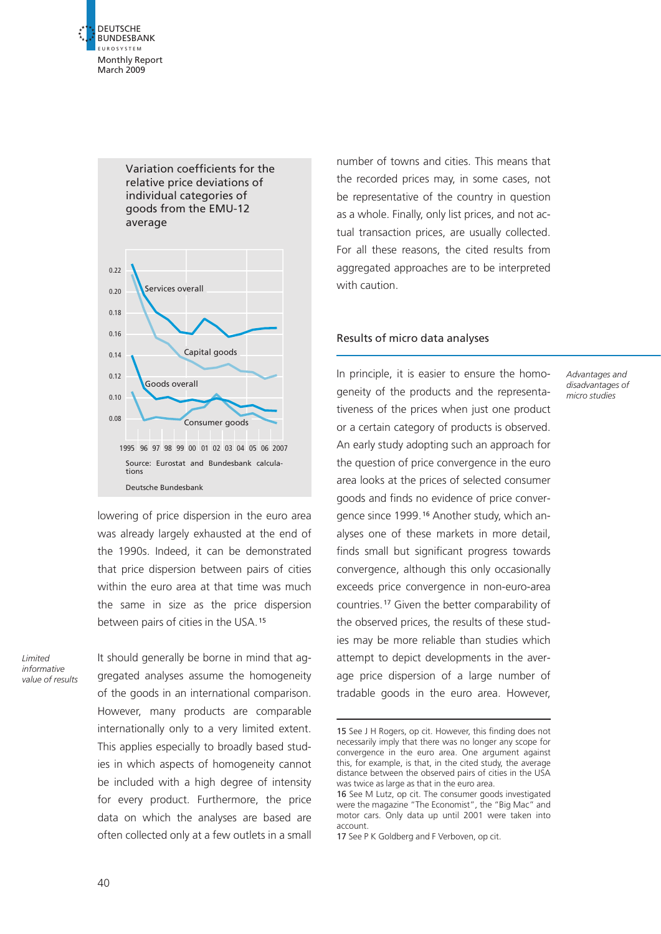



lowering of price dispersion in the euro area was already largely exhausted at the end of the 1990s. Indeed, it can be demonstrated that price dispersion between pairs of cities within the euro area at that time was much the same in size as the price dispersion between pairs of cities in the USA.<sup>15</sup>

Limited informative value of results It should generally be borne in mind that aggregated analyses assume the homogeneity of the goods in an international comparison. However, many products are comparable internationally only to a very limited extent. This applies especially to broadly based studies in which aspects of homogeneity cannot be included with a high degree of intensity for every product. Furthermore, the price data on which the analyses are based are often collected only at a few outlets in a small

number of towns and cities. This means that the recorded prices may, in some cases, not be representative of the country in question as a whole. Finally, only list prices, and not actual transaction prices, are usually collected. For all these reasons, the cited results from aggregated approaches are to be interpreted with caution.

#### Results of micro data analyses

In principle, it is easier to ensure the homogeneity of the products and the representativeness of the prices when just one product or a certain category of products is observed. An early study adopting such an approach for the question of price convergence in the euro area looks at the prices of selected consumer goods and finds no evidence of price convergence since 1999. <sup>16</sup> Another study, which analyses one of these markets in more detail, finds small but significant progress towards convergence, although this only occasionally exceeds price convergence in non-euro-area countries.<sup>17</sup> Given the better comparability of the observed prices, the results of these studies may be more reliable than studies which attempt to depict developments in the average price dispersion of a large number of tradable goods in the euro area. However,

Advantages and disadvantages of micro studies

<sup>15</sup> See J H Rogers, op cit. However, this finding does not necessarily imply that there was no longer any scope for convergence in the euro area. One argument against this, for example, is that, in the cited study, the average distance between the observed pairs of cities in the USA was twice as large as that in the euro area.

<sup>16</sup> See M Lutz, op cit. The consumer goods investigated were the magazine "The Economist", the "Big Mac" and motor cars. Only data up until 2001 were taken into account.

<sup>17</sup> See P K Goldberg and F Verboven, op cit.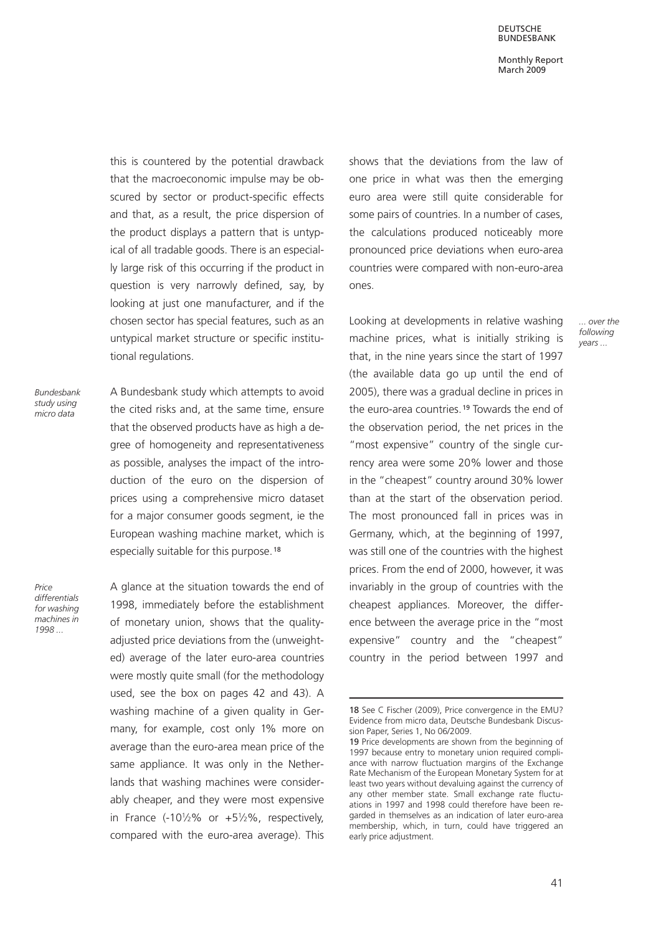DEUTSCHE BUNDESBANK

Monthly Report March 2009

> ... over the following years ...

this is countered by the potential drawback that the macroeconomic impulse may be obscured by sector or product-specific effects and that, as a result, the price dispersion of the product displays a pattern that is untypical of all tradable goods. There is an especially large risk of this occurring if the product in question is very narrowly defined, say, by looking at just one manufacturer, and if the chosen sector has special features, such as an untypical market structure or specific institutional regulations.

Bundesbank study using micro data

A Bundesbank study which attempts to avoid the cited risks and, at the same time, ensure that the observed products have as high a degree of homogeneity and representativeness as possible, analyses the impact of the introduction of the euro on the dispersion of prices using a comprehensive micro dataset for a major consumer goods segment, ie the European washing machine market, which is especially suitable for this purpose.<sup>18</sup>

Price differentials for washing machines in 1998 ...

A glance at the situation towards the end of 1998, immediately before the establishment of monetary union, shows that the qualityadjusted price deviations from the (unweighted) average of the later euro-area countries were mostly quite small (for the methodology used, see the box on pages 42 and 43). A washing machine of a given quality in Germany, for example, cost only 1% more on average than the euro-area mean price of the same appliance. It was only in the Netherlands that washing machines were considerably cheaper, and they were most expensive in France (-10 $\frac{1}{2}\%$  or +5 $\frac{1}{2}\%$ , respectively, compared with the euro-area average). This shows that the deviations from the law of one price in what was then the emerging euro area were still quite considerable for some pairs of countries. In a number of cases, the calculations produced noticeably more pronounced price deviations when euro-area countries were compared with non-euro-area ones.

Looking at developments in relative washing machine prices, what is initially striking is that, in the nine years since the start of 1997 (the available data go up until the end of 2005), there was a gradual decline in prices in the euro-area countries.<sup>19</sup> Towards the end of the observation period, the net prices in the "most expensive" country of the single currency area were some 20% lower and those in the "cheapest" country around 30% lower than at the start of the observation period. The most pronounced fall in prices was in Germany, which, at the beginning of 1997, was still one of the countries with the highest prices. From the end of 2000, however, it was invariably in the group of countries with the cheapest appliances. Moreover, the difference between the average price in the "most expensive" country and the "cheapest" country in the period between 1997 and

<sup>18</sup> See C Fischer (2009), Price convergence in the EMU? Evidence from micro data, Deutsche Bundesbank Discussion Paper, Series 1, No 06/2009.

<sup>19</sup> Price developments are shown from the beginning of 1997 because entry to monetary union required compliance with narrow fluctuation margins of the Exchange Rate Mechanism of the European Monetary System for at least two years without devaluing against the currency of any other member state. Small exchange rate fluctuations in 1997 and 1998 could therefore have been regarded in themselves as an indication of later euro-area membership, which, in turn, could have triggered an early price adjustment.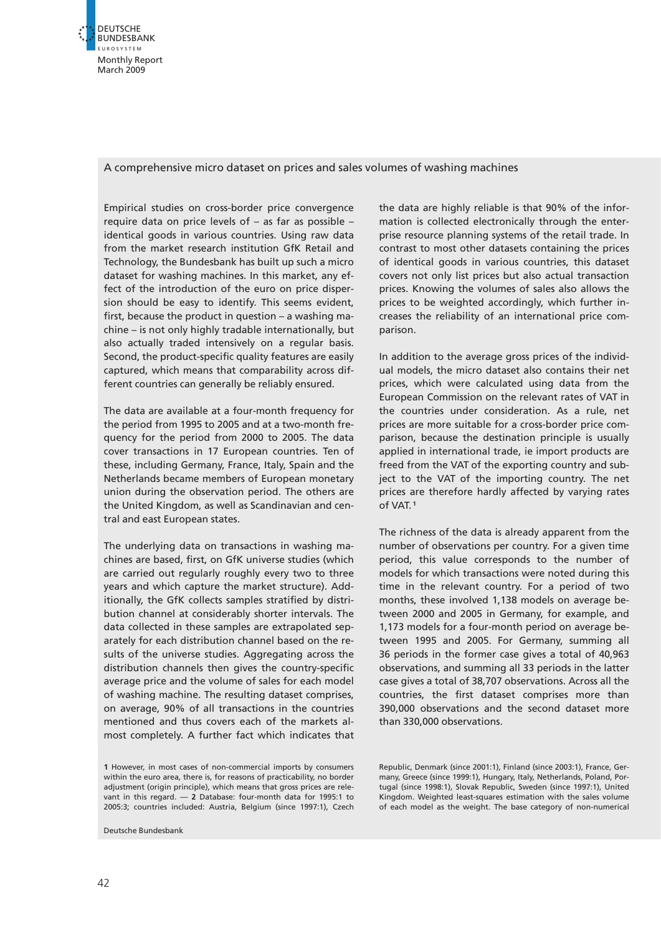

#### A comprehensive micro dataset on prices and sales volumes of washing machines

Empirical studies on cross-border price convergence require data on price levels of – as far as possible – identical goods in various countries. Using raw data from the market research institution GfK Retail and Technology, the Bundesbank has built up such a micro dataset for washing machines. In this market, any effect of the introduction of the euro on price dispersion should be easy to identify. This seems evident, first, because the product in question – a washing machine – is not only highly tradable internationally, but also actually traded intensively on a regular basis. Second, the product-specific quality features are easily captured, which means that comparability across different countries can generally be reliably ensured.

The data are available at a four-month frequency for the period from 1995 to 2005 and at a two-month frequency for the period from 2000 to 2005. The data cover transactions in 17 European countries. Ten of these, including Germany, France, Italy, Spain and the Netherlands became members of European monetary union during the observation period. The others are the United Kingdom, as well as Scandinavian and central and east European states.

The underlying data on transactions in washing machines are based, first, on GfK universe studies (which are carried out regularly roughly every two to three years and which capture the market structure). Additionally, the GfK collects samples stratified by distribution channel at considerably shorter intervals. The data collected in these samples are extrapolated separately for each distribution channel based on the results of the universe studies. Aggregating across the distribution channels then gives the country-specific average price and the volume of sales for each model of washing machine. The resulting dataset comprises, on average, 90% of all transactions in the countries mentioned and thus covers each of the markets almost completely. A further fact which indicates that

1 However, in most cases of non-commercial imports by consumers within the euro area, there is, for reasons of practicability, no border adjustment (origin principle), which means that gross prices are relevant in this regard. — 2 Database: four-month data for 1995:1 to 2005:3; countries included: Austria, Belgium (since 1997:1), Czech

Deutsche Bundesbank

the data are highly reliable is that 90% of the information is collected electronically through the enterprise resource planning systems of the retail trade. In contrast to most other datasets containing the prices of identical goods in various countries, this dataset covers not only list prices but also actual transaction prices. Knowing the volumes of sales also allows the prices to be weighted accordingly, which further increases the reliability of an international price comparison.

In addition to the average gross prices of the individual models, the micro dataset also contains their net prices, which were calculated using data from the European Commission on the relevant rates of VAT in the countries under consideration. As a rule, net prices are more suitable for a cross-border price comparison, because the destination principle is usually applied in international trade, ie import products are freed from the VAT of the exporting country and subject to the VAT of the importing country. The net prices are therefore hardly affected by varying rates of VAT. <sup>1</sup>

The richness of the data is already apparent from the number of observations per country. For a given time period, this value corresponds to the number of models for which transactions were noted during this time in the relevant country. For a period of two months, these involved 1,138 models on average between 2000 and 2005 in Germany, for example, and 1,173 models for a four-month period on average between 1995 and 2005. For Germany, summing all 36 periods in the former case gives a total of 40,963 observations, and summing all 33 periods in the latter case gives a total of 38,707 observations. Across all the countries, the first dataset comprises more than 390,000 observations and the second dataset more than 330,000 observations.

Republic, Denmark (since 2001:1), Finland (since 2003:1), France, Germany, Greece (since 1999:1), Hungary, Italy, Netherlands, Poland, Portugal (since 1998:1), Slovak Republic, Sweden (since 1997:1), United Kingdom. Weighted least-squares estimation with the sales volume of each model as the weight. The base category of non-numerical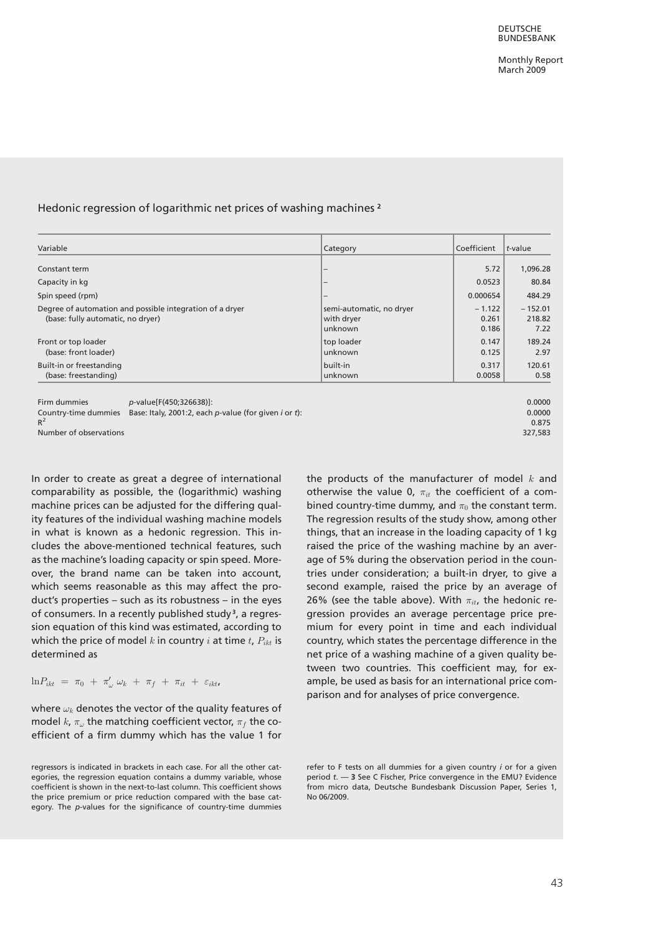#### Hedonic regression of logarithmic net prices of washing machines <sup>2</sup>

| Variable                                                                                                                                | Category                                          | Coefficient                | t-value                     |
|-----------------------------------------------------------------------------------------------------------------------------------------|---------------------------------------------------|----------------------------|-----------------------------|
| Constant term                                                                                                                           |                                                   | 5.72                       | 1,096.28                    |
| Capacity in kg                                                                                                                          |                                                   | 0.0523                     | 80.84                       |
| Spin speed (rpm)                                                                                                                        |                                                   | 0.000654                   | 484.29                      |
| Degree of automation and possible integration of a dryer<br>(base: fully automatic, no dryer)                                           | semi-automatic, no dryer<br>with dryer<br>unknown | $-1.122$<br>0.261<br>0.186 | $-152.01$<br>218.82<br>7.22 |
| Front or top loader<br>(base: front loader)                                                                                             | top loader<br>unknown                             | 0.147<br>0.125             | 189.24<br>2.97              |
| Built-in or freestanding<br>(base: freestanding)                                                                                        | built-in <br>unknown                              | 0.317<br>0.0058            | 120.61<br>0.58              |
| Firm dummies<br>p-value[F(450;326638)]:<br>Base: Italy, 2001:2, each p-value (for given <i>i</i> or <i>t</i> ):<br>Country-time dummies |                                                   |                            | 0.0000<br>0.0000            |

 $R^2$  and the contract of the contract of the contract of the contract of the contract of the contract of the contract of the contract of the contract of the contract of the contract of the contract of the contract of the Number of observations 327,583

In order to create as great a degree of international comparability as possible, the (logarithmic) washing machine prices can be adjusted for the differing quality features of the individual washing machine models in what is known as a hedonic regression. This includes the above-mentioned technical features, such as the machine's loading capacity or spin speed. Moreover, the brand name can be taken into account, which seems reasonable as this may affect the product's properties – such as its robustness – in the eyes of consumers. In a recently published study<sup>3</sup>, a regression equation of this kind was estimated, according to which the price of model k in country i at time  $t$ ,  $P_{ikt}$  is determined as

 $\ln P_{ikt}$  =  $\pi_0$  +  $\pi'_\omega$   $\omega_k$  +  $\pi_f$  +  $\pi_{it}$  +  $\varepsilon_{ikt}$ 

where  $\omega_k$  denotes the vector of the quality features of model  $k$ ,  $\pi_\omega$  the matching coefficient vector,  $\pi_f$  the coefficient of a firm dummy which has the value 1 for the products of the manufacturer of model  $k$  and otherwise the value 0,  $\pi_{it}$  the coefficient of a combined country-time dummy, and  $\pi_0$  the constant term. The regression results of the study show, among other things, that an increase in the loading capacity of 1 kg raised the price of the washing machine by an average of 5% during the observation period in the countries under consideration; a built-in dryer, to give a second example, raised the price by an average of 26% (see the table above). With  $\pi_{it}$ , the hedonic regression provides an average percentage price premium for every point in time and each individual country, which states the percentage difference in the net price of a washing machine of a given quality between two countries. This coefficient may, for example, be used as basis for an international price comparison and for analyses of price convergence.

regressors is indicated in brackets in each case. For all the other categories, the regression equation contains a dummy variable, whose coefficient is shown in the next-to-last column. This coefficient shows the price premium or price reduction compared with the base category. The p-values for the significance of country-time dummies

refer to F tests on all dummies for a given country *i* or for a given period  $t. - 3$  See C Fischer, Price convergence in the EMU? Evidence from micro data, Deutsche Bundesbank Discussion Paper, Series 1, No 06/2009.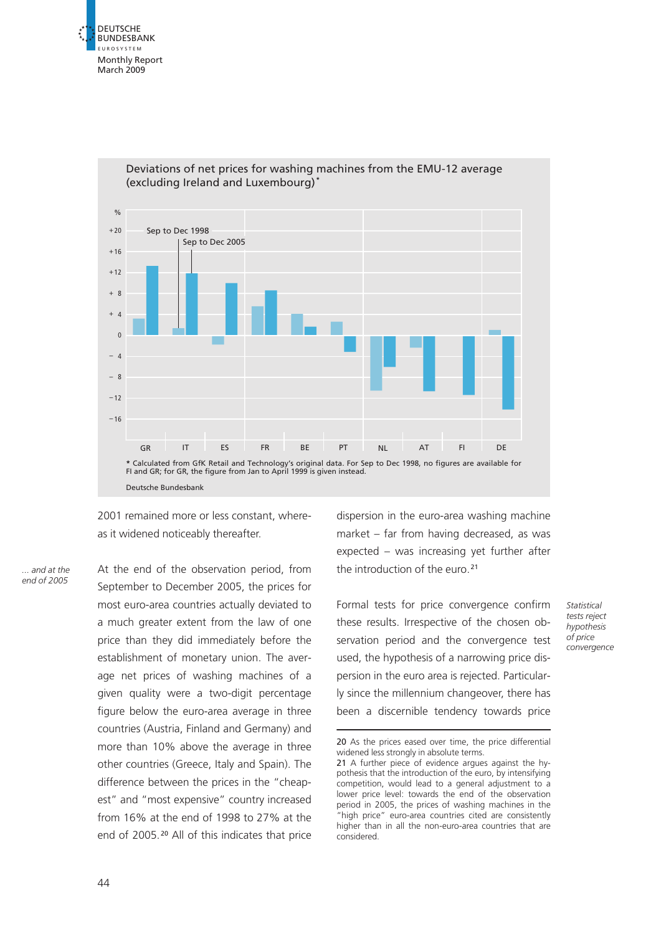



Deviations of net prices for washing machines from the EMU-12 average (excluding Ireland and Luxembourg) **\***

2001 remained more or less constant, whereas it widened noticeably thereafter.

... and at the end of 2005 At the end of the observation period, from September to December 2005, the prices for most euro-area countries actually deviated to a much greater extent from the law of one price than they did immediately before the establishment of monetary union. The average net prices of washing machines of a given quality were a two-digit percentage figure below the euro-area average in three countries (Austria, Finland and Germany) and more than 10% above the average in three other countries (Greece, Italy and Spain). The difference between the prices in the "cheapest" and "most expensive" country increased from 16% at the end of 1998 to 27% at the end of 2005. <sup>20</sup> All of this indicates that price

dispersion in the euro-area washing machine market – far from having decreased, as was expected – was increasing yet further after the introduction of the euro.<sup>21</sup>

Formal tests for price convergence confirm these results. Irrespective of the chosen observation period and the convergence test used, the hypothesis of a narrowing price dispersion in the euro area is rejected. Particularly since the millennium changeover, there has been a discernible tendency towards price

**Statistical** tests reject hypothesis of price convergence

<sup>20</sup> As the prices eased over time, the price differential widened less strongly in absolute terms.

<sup>21</sup> A further piece of evidence argues against the hypothesis that the introduction of the euro, by intensifying competition, would lead to a general adjustment to a lower price level: towards the end of the observation period in 2005, the prices of washing machines in the 'high price" euro-area countries cited are consistently higher than in all the non-euro-area countries that are considered.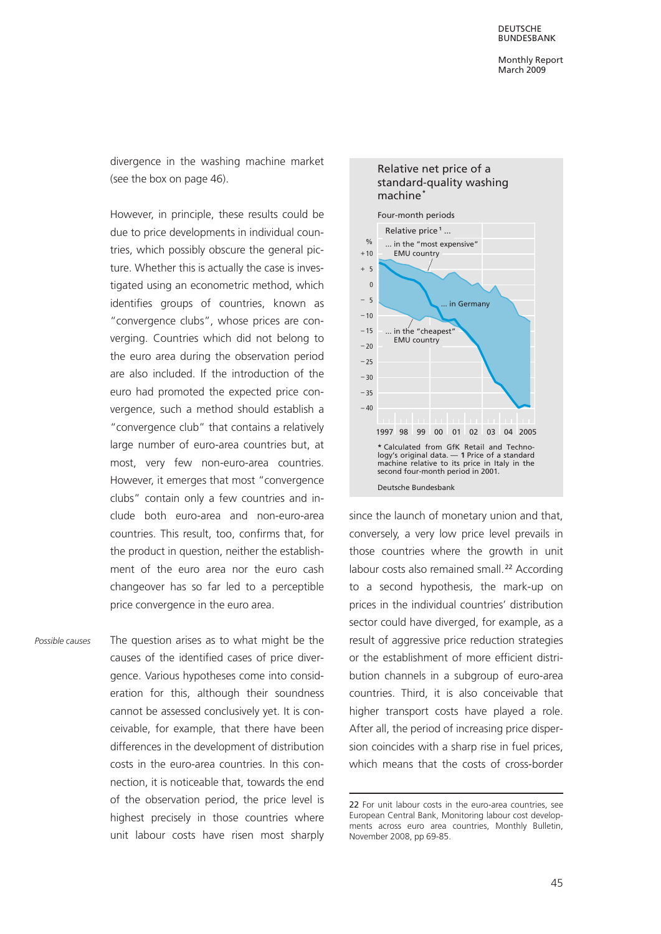divergence in the washing machine market (see the box on page 46).

However, in principle, these results could be due to price developments in individual countries, which possibly obscure the general picture. Whether this is actually the case is investigated using an econometric method, which identifies groups of countries, known as "convergence clubs", whose prices are converging. Countries which did not belong to the euro area during the observation period are also included. If the introduction of the euro had promoted the expected price convergence, such a method should establish a "convergence club" that contains a relatively large number of euro-area countries but, at most, very few non-euro-area countries. However, it emerges that most "convergence clubs" contain only a few countries and include both euro-area and non-euro-area countries. This result, too, confirms that, for the product in question, neither the establishment of the euro area nor the euro cash changeover has so far led to a perceptible price convergence in the euro area.

The question arises as to what might be the causes of the identified cases of price divergence. Various hypotheses come into consideration for this, although their soundness cannot be assessed conclusively yet. It is conceivable, for example, that there have been differences in the development of distribution costs in the euro-area countries. In this connection, it is noticeable that, towards the end of the observation period, the price level is highest precisely in those countries where unit labour costs have risen most sharply Possible causes



since the launch of monetary union and that, conversely, a very low price level prevails in those countries where the growth in unit labour costs also remained small.<sup>22</sup> According to a second hypothesis, the mark-up on prices in the individual countries' distribution sector could have diverged, for example, as a result of aggressive price reduction strategies or the establishment of more efficient distribution channels in a subgroup of euro-area countries. Third, it is also conceivable that higher transport costs have played a role. After all, the period of increasing price dispersion coincides with a sharp rise in fuel prices, which means that the costs of cross-border

## Relative net price of a standard-quality washing

<sup>22</sup> For unit labour costs in the euro-area countries, see European Central Bank, Monitoring labour cost developments across euro area countries, Monthly Bulletin, November 2008, pp 69-85.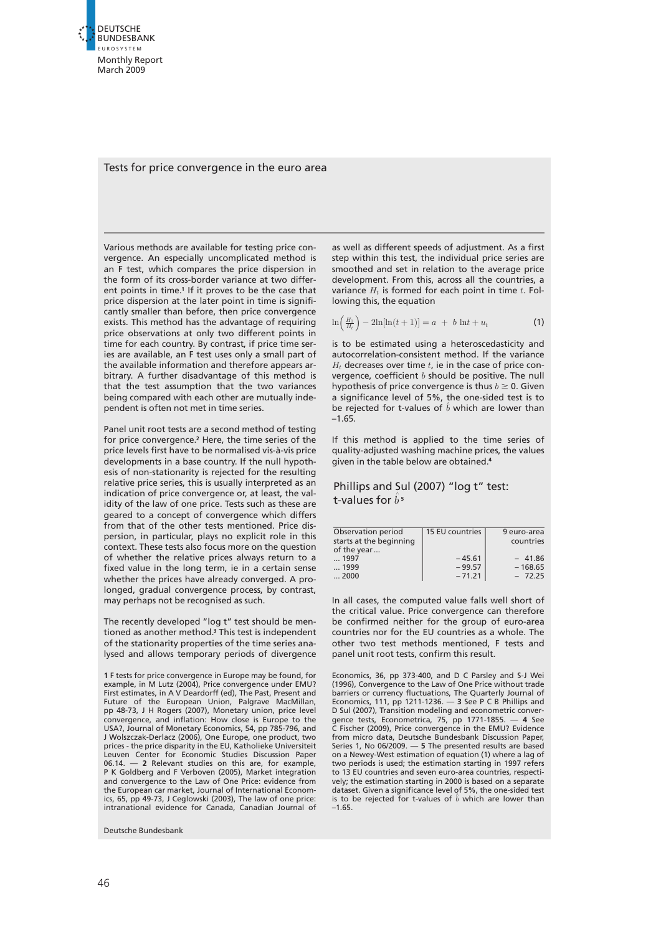

#### Tests for price convergence in the euro area

Various methods are available for testing price convergence. An especially uncomplicated method is an F test, which compares the price dispersion in the form of its cross-border variance at two different points in time.<sup>1</sup> If it proves to be the case that price dispersion at the later point in time is significantly smaller than before, then price convergence exists. This method has the advantage of requiring price observations at only two different points in time for each country. By contrast, if price time series are available, an F test uses only a small part of the available information and therefore appears arbitrary. A further disadvantage of this method is that the test assumption that the two variances being compared with each other are mutually independent is often not met in time series.

Panel unit root tests are a second method of testing for price convergence.<sup>2</sup> Here, the time series of the price levels first have to be normalised vis-à-vis price developments in a base country. If the null hypothesis of non-stationarity is rejected for the resulting relative price series, this is usually interpreted as an indication of price convergence or, at least, the validity of the law of one price. Tests such as these are geared to a concept of convergence which differs from that of the other tests mentioned. Price dispersion, in particular, plays no explicit role in this context. These tests also focus more on the question of whether the relative prices always return to a fixed value in the long term, ie in a certain sense whether the prices have already converged. A prolonged, gradual convergence process, by contrast, may perhaps not be recognised as such.

The recently developed "log t" test should be mentioned as another method.<sup>3</sup> This test is independent of the stationarity properties of the time series analysed and allows temporary periods of divergence

1 F tests for price convergence in Europe may be found, for example, in M Lutz (2004), Price convergence under EMU? First estimates, in A V Deardorff (ed), The Past, Present and Future of the European Union, Palgrave MacMillan, pp 48-73, J H Rogers (2007), Monetary union, price level convergence, and inflation: How close is Europe to the USA?, Journal of Monetary Economics, 54, pp 785-796, and J Wolszczak-Derlacz (2006), One Europe, one product, two prices - the price disparity in the EU, Katholieke Universiteit Leuven Center for Economic Studies Discussion Paper 06.14. — 2 Relevant studies on this are, for example, P K Goldberg and F Verboven (2005), Market integration and convergence to the Law of One Price: evidence from the European car market, Journal of International Economics, 65, pp 49-73, J Ceglowski (2003), The law of one price: intranational evidence for Canada, Canadian Journal of

Deutsche Bundesbank

as well as different speeds of adjustment. As a first step within this test, the individual price series are smoothed and set in relation to the average price development. From this, across all the countries, a variance  $H_t$  is formed for each point in time  $t$ . Following this, the equation

$$
\ln\left(\frac{H_1}{H_t}\right) - 2\ln[\ln(t+1)] = a + b \ln t + u_t
$$
 (1)

is to be estimated using a heteroscedasticity and autocorrelation-consistent method. If the variance  $H_t$  decreases over time  $t$ , ie in the case of price convergence, coefficient  $b$  should be positive. The null hypothesis of price convergence is thus  $b \ge 0$ . Given a significance level of 5%, the one-sided test is to be rejected for t-values of  $\hat{b}$  which are lower than  $-1.65$ 

If this method is applied to the time series of quality-adjusted washing machine prices, the values given in the table below are obtained.<sup>4</sup>

#### Phillips and Sul (2007) "log t" test: t-values for  $\hat{b}$ <sup>5</sup>

| Observation period<br>starts at the beginning<br>of the year | 15 EU countries      | 9 euro-area<br>countries |
|--------------------------------------------------------------|----------------------|--------------------------|
| $\dots$ 1997                                                 | $-45.61$             | $-41.86$                 |
| $\dots$ 1999<br>$\dots$ 2000                                 | $-99.57$<br>$-71.21$ | $-168.65$<br>$-72.25$    |

In all cases, the computed value falls well short of the critical value. Price convergence can therefore be confirmed neither for the group of euro-area countries nor for the EU countries as a whole. The other two test methods mentioned, F tests and panel unit root tests, confirm this result.

Economics, 36, pp 373-400, and D C Parsley and S-J Wei (1996), Convergence to the Law of One Price without trade barriers or currency fluctuations, The Quarterly Journal of Economics, 111, pp 1211-1236. — 3 See P C B Phillips and D Sul (2007), Transition modeling and econometric convergence tests, Econometrica, 75, pp 1771-1855. — 4 See C Fischer (2009), Price convergence in the EMU? Evidence from micro data, Deutsche Bundesbank Discussion Paper, Series 1, No 06/2009. — 5 The presented results are based on a Newey-West estimation of equation (1) where a lag of two periods is used; the estimation starting in 1997 refers to 13 EU countries and seven euro-area countries, respectively; the estimation starting in 2000 is based on a separate dataset. Given a significance level of 5%, the one-sided test is to be rejected for t-values of  $\hat{b}$  which are lower than –1.65.